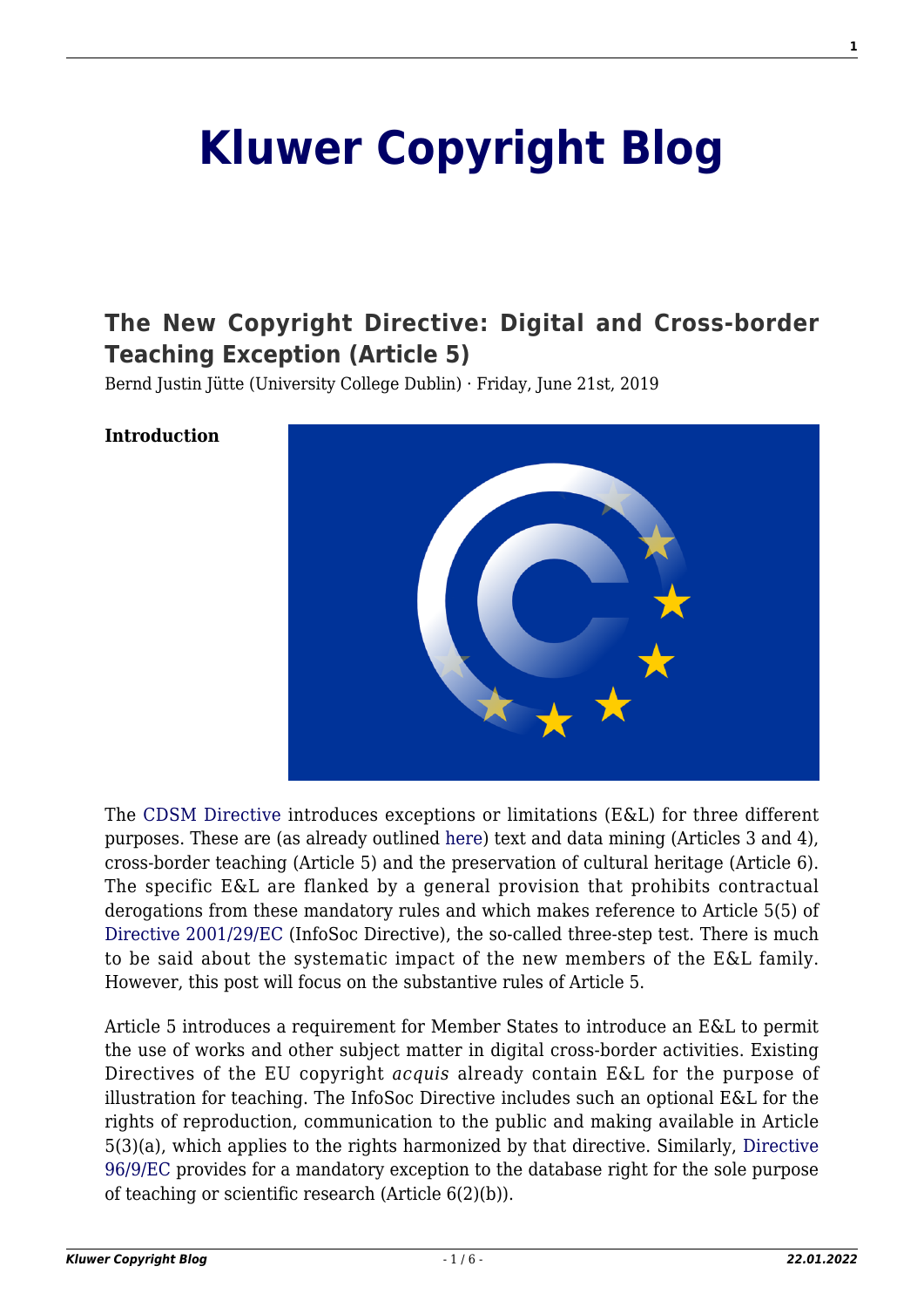# **[Kluwer Copyright Blog](http://copyrightblog.kluweriplaw.com/)**

# **[The New Copyright Directive: Digital and Cross-border](http://copyrightblog.kluweriplaw.com/2019/06/21/the-new-copyright-directive-digital-and-cross-border-teaching-exception-article-5/) [Teaching Exception \(Article 5\)](http://copyrightblog.kluweriplaw.com/2019/06/21/the-new-copyright-directive-digital-and-cross-border-teaching-exception-article-5/)**

Bernd Justin Jütte (University College Dublin) · Friday, June 21st, 2019

#### **Introduction**



The [CDSM Directive](https://eur-lex.europa.eu/eli/dir/2019/790/oj) introduces exceptions or limitations (E&L) for three different purposes. These are (as already outlined [here](http://copyrightblog.kluweriplaw.com/2019/06/07/the-new-copyright-directive-a-tour-dhorizon-part-i/)) text and data mining (Articles 3 and 4), cross-border teaching (Article 5) and the preservation of cultural heritage (Article 6). The specific E&L are flanked by a general provision that prohibits contractual derogations from these mandatory rules and which makes reference to Article 5(5) of [Directive 2001/29/EC](https://eur-lex.europa.eu/legal-content/EN/ALL/?uri=CELEX%3A32001L0029) (InfoSoc Directive), the so-called three-step test. There is much to be said about the systematic impact of the new members of the E&L family. However, this post will focus on the substantive rules of Article 5.

Article 5 introduces a requirement for Member States to introduce an E&L to permit the use of works and other subject matter in digital cross-border activities. Existing Directives of the EU copyright *acquis* already contain E&L for the purpose of illustration for teaching. The InfoSoc Directive includes such an optional E&L for the rights of reproduction, communication to the public and making available in Article 5(3)(a), which applies to the rights harmonized by that directive. Similarly, [Directive](https://eur-lex.europa.eu/legal-content/EN/ALL/?uri=CELEX%3A31996L0009) [96/9/EC](https://eur-lex.europa.eu/legal-content/EN/ALL/?uri=CELEX%3A31996L0009) provides for a mandatory exception to the database right for the sole purpose of teaching or scientific research (Article 6(2)(b)).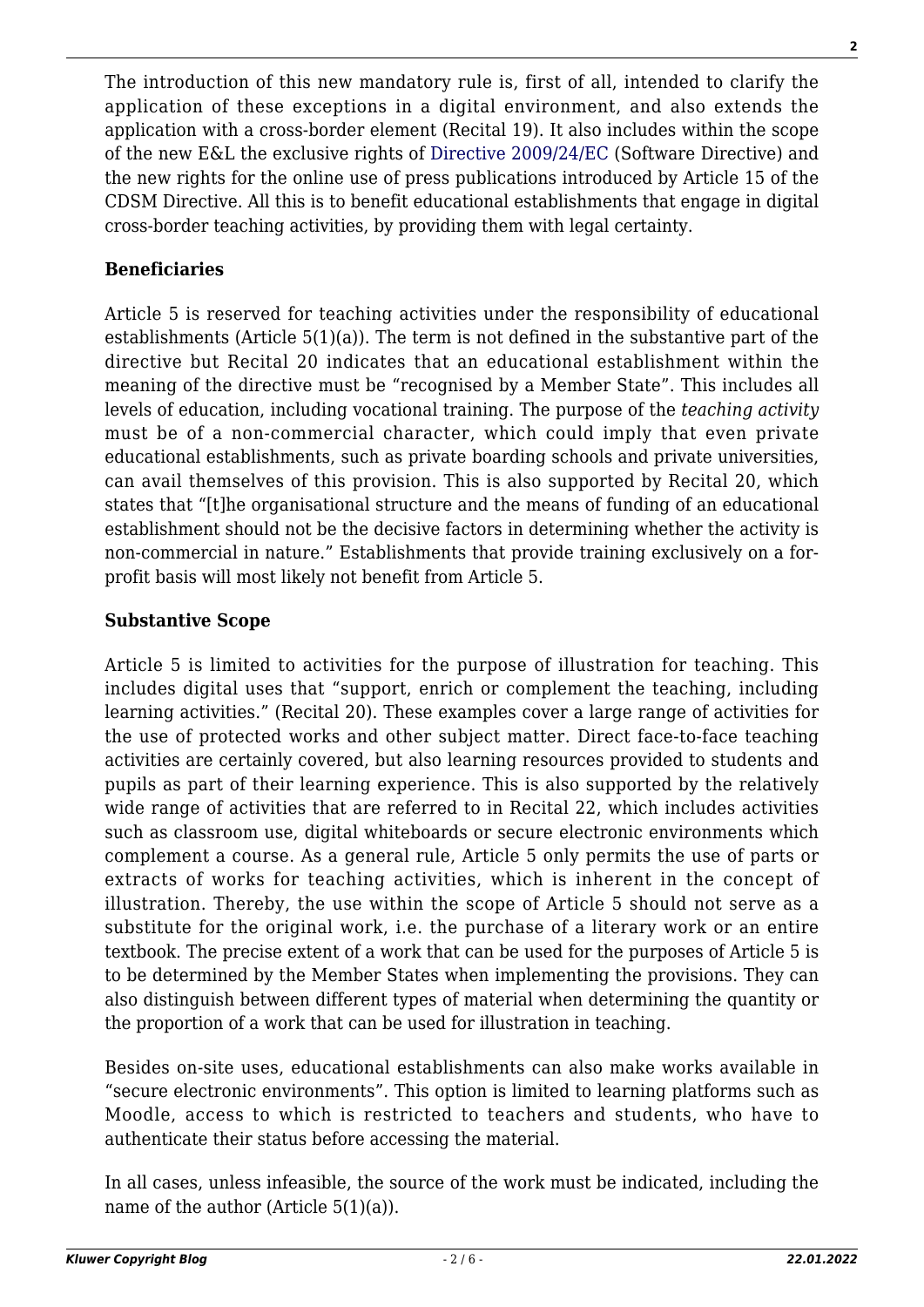The introduction of this new mandatory rule is, first of all, intended to clarify the application of these exceptions in a digital environment, and also extends the application with a cross-border element (Recital 19). It also includes within the scope of the new E&L the exclusive rights of [Directive 2009/24/EC](https://eur-lex.europa.eu/legal-content/EN/ALL/?uri=CELEX%3A32009L0024) (Software Directive) and the new rights for the online use of press publications introduced by Article 15 of the CDSM Directive. All this is to benefit educational establishments that engage in digital cross-border teaching activities, by providing them with legal certainty.

## **Beneficiaries**

Article 5 is reserved for teaching activities under the responsibility of educational establishments (Article 5(1)(a)). The term is not defined in the substantive part of the directive but Recital 20 indicates that an educational establishment within the meaning of the directive must be "recognised by a Member State". This includes all levels of education, including vocational training. The purpose of the *teaching activity* must be of a non-commercial character, which could imply that even private educational establishments, such as private boarding schools and private universities, can avail themselves of this provision. This is also supported by Recital 20, which states that "[t]he organisational structure and the means of funding of an educational establishment should not be the decisive factors in determining whether the activity is non-commercial in nature." Establishments that provide training exclusively on a forprofit basis will most likely not benefit from Article 5.

### **Substantive Scope**

Article 5 is limited to activities for the purpose of illustration for teaching. This includes digital uses that "support, enrich or complement the teaching, including learning activities." (Recital 20). These examples cover a large range of activities for the use of protected works and other subject matter. Direct face-to-face teaching activities are certainly covered, but also learning resources provided to students and pupils as part of their learning experience. This is also supported by the relatively wide range of activities that are referred to in Recital 22, which includes activities such as classroom use, digital whiteboards or secure electronic environments which complement a course. As a general rule, Article 5 only permits the use of parts or extracts of works for teaching activities, which is inherent in the concept of illustration. Thereby, the use within the scope of Article 5 should not serve as a substitute for the original work, i.e. the purchase of a literary work or an entire textbook. The precise extent of a work that can be used for the purposes of Article 5 is to be determined by the Member States when implementing the provisions. They can also distinguish between different types of material when determining the quantity or the proportion of a work that can be used for illustration in teaching.

Besides on-site uses, educational establishments can also make works available in "secure electronic environments". This option is limited to learning platforms such as Moodle, access to which is restricted to teachers and students, who have to authenticate their status before accessing the material.

In all cases, unless infeasible, the source of the work must be indicated, including the name of the author (Article 5(1)(a)).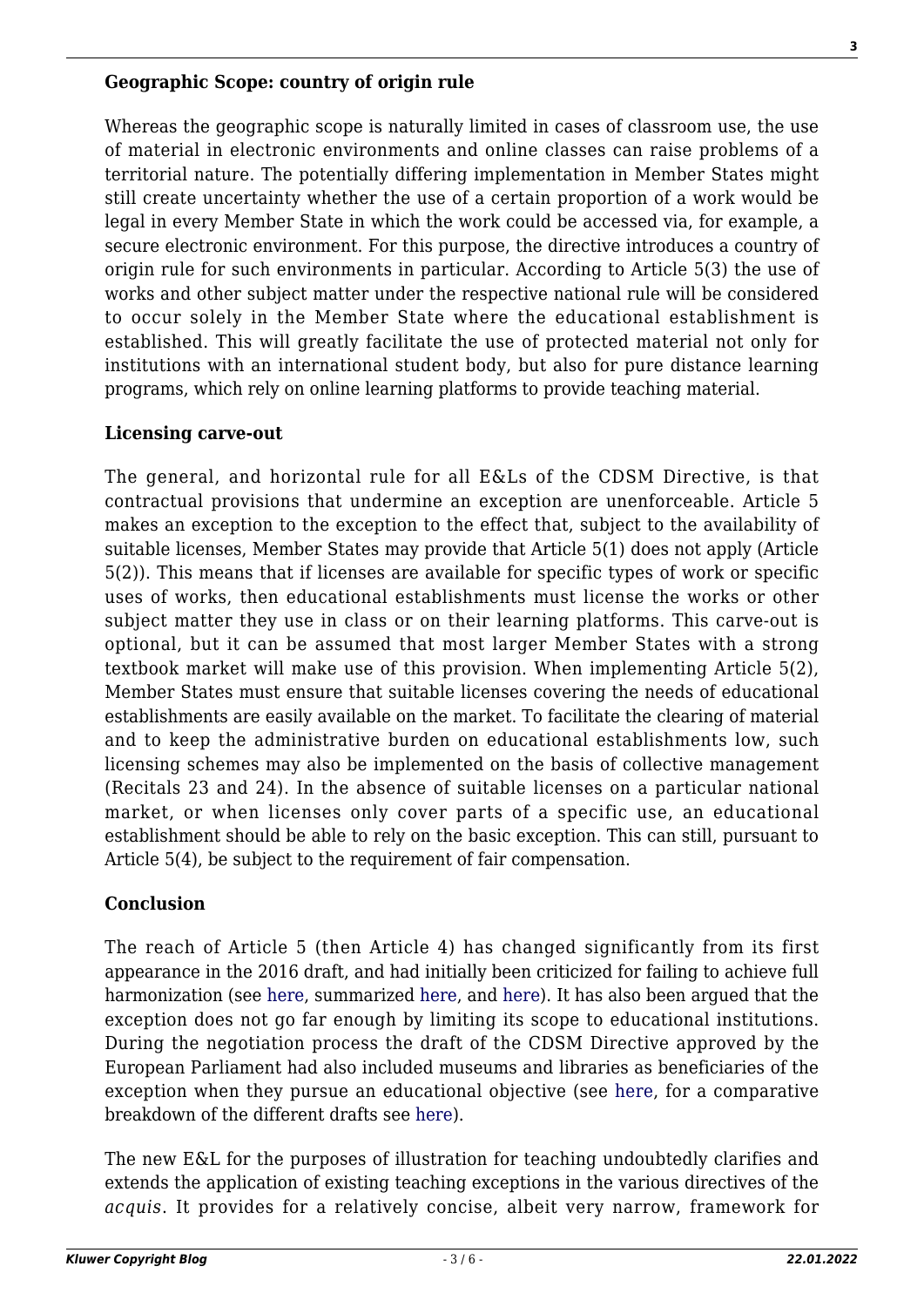#### **Geographic Scope: country of origin rule**

Whereas the geographic scope is naturally limited in cases of classroom use, the use of material in electronic environments and online classes can raise problems of a territorial nature. The potentially differing implementation in Member States might still create uncertainty whether the use of a certain proportion of a work would be legal in every Member State in which the work could be accessed via, for example, a secure electronic environment. For this purpose, the directive introduces a country of origin rule for such environments in particular. According to Article 5(3) the use of works and other subject matter under the respective national rule will be considered to occur solely in the Member State where the educational establishment is established. This will greatly facilitate the use of protected material not only for institutions with an international student body, but also for pure distance learning programs, which rely on online learning platforms to provide teaching material.

#### **Licensing carve-out**

The general, and horizontal rule for all E&Ls of the CDSM Directive, is that contractual provisions that undermine an exception are unenforceable. Article 5 makes an exception to the exception to the effect that, subject to the availability of suitable licenses, Member States may provide that Article 5(1) does not apply (Article 5(2)). This means that if licenses are available for specific types of work or specific uses of works, then educational establishments must license the works or other subject matter they use in class or on their learning platforms. This carve-out is optional, but it can be assumed that most larger Member States with a strong textbook market will make use of this provision. When implementing Article 5(2), Member States must ensure that suitable licenses covering the needs of educational establishments are easily available on the market. To facilitate the clearing of material and to keep the administrative burden on educational establishments low, such licensing schemes may also be implemented on the basis of collective management (Recitals 23 and 24). In the absence of suitable licenses on a particular national market, or when licenses only cover parts of a specific use, an educational establishment should be able to rely on the basic exception. This can still, pursuant to Article 5(4), be subject to the requirement of fair compensation.

#### **Conclusion**

The reach of Article 5 (then Article 4) has changed significantly from its first appearance in the 2016 draft, and had initially been criticized for failing to achieve full harmonization (see [here](https://papers.ssrn.com/sol3/papers.cfm?abstract_id=3053983), summarized [here,](http://copyrightblog.kluweriplaw.com/2017/10/21/ceipi-opinion-reform-copyright-limitations-european-digital-single-market/) and [here](https://libereurope.eu/blog/2019/03/29/new-european-copyright-directive-a-detailed-look/)). It has also been argued that the exception does not go far enough by limiting its scope to educational institutions. During the negotiation process the draft of the CDSM Directive approved by the European Parliament had also included museums and libraries as beneficiaries of the exception when they pursue an educational objective (see [here](https://www.communia-association.org/2019/02/27/education-exception-gutted-trilogues/), for a comparative breakdown of the different drafts see [here\)](https://www.create.ac.uk/wp-content/uploads/2019/03/copyright-final-agreement-february-16.pdf).

The new E&L for the purposes of illustration for teaching undoubtedly clarifies and extends the application of existing teaching exceptions in the various directives of the *acquis*. It provides for a relatively concise, albeit very narrow, framework for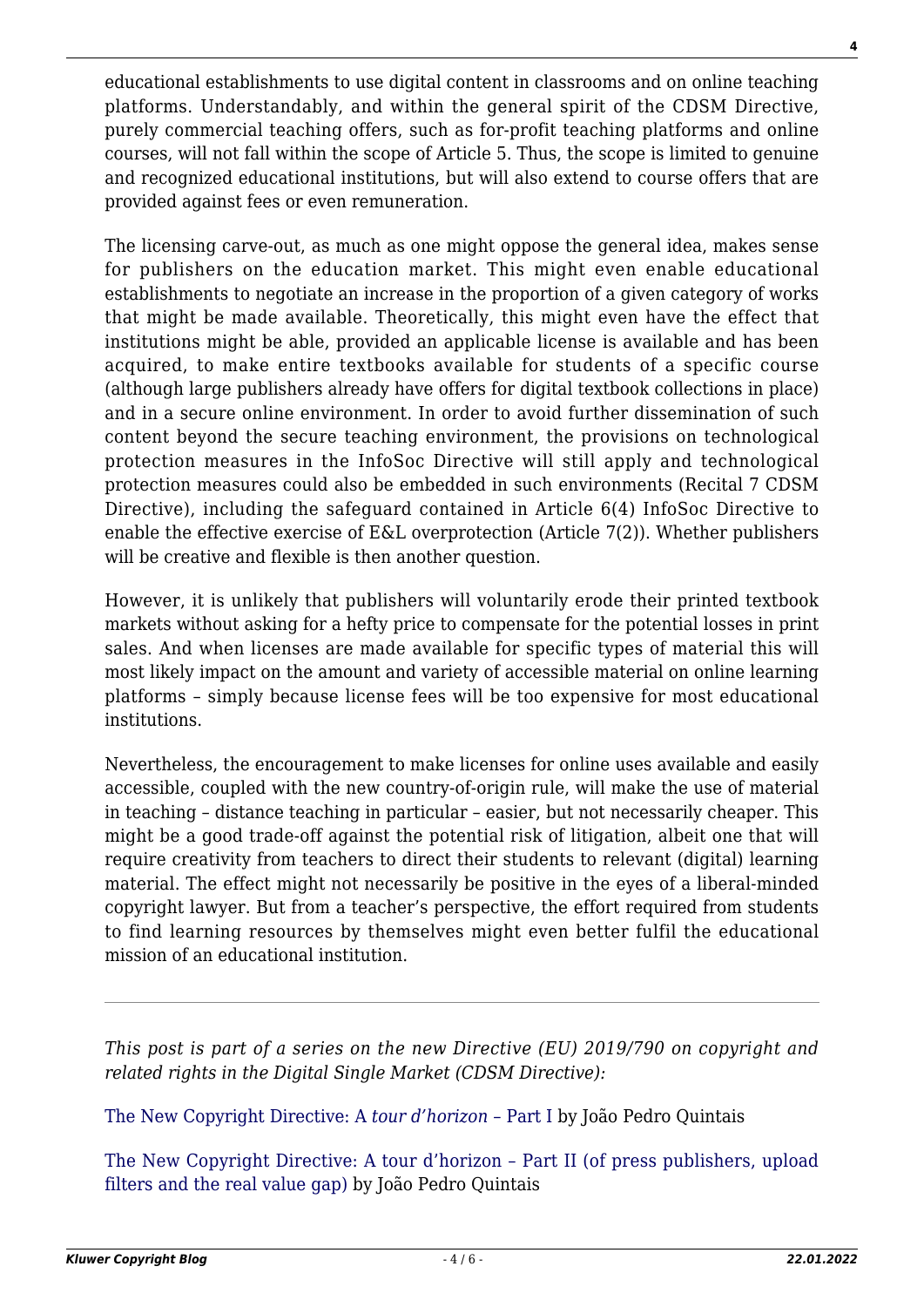educational establishments to use digital content in classrooms and on online teaching platforms. Understandably, and within the general spirit of the CDSM Directive, purely commercial teaching offers, such as for-profit teaching platforms and online courses, will not fall within the scope of Article 5. Thus, the scope is limited to genuine and recognized educational institutions, but will also extend to course offers that are provided against fees or even remuneration.

The licensing carve-out, as much as one might oppose the general idea, makes sense for publishers on the education market. This might even enable educational establishments to negotiate an increase in the proportion of a given category of works that might be made available. Theoretically, this might even have the effect that institutions might be able, provided an applicable license is available and has been acquired, to make entire textbooks available for students of a specific course (although large publishers already have offers for digital textbook collections in place) and in a secure online environment. In order to avoid further dissemination of such content beyond the secure teaching environment, the provisions on technological protection measures in the InfoSoc Directive will still apply and technological protection measures could also be embedded in such environments (Recital 7 CDSM Directive), including the safeguard contained in Article 6(4) InfoSoc Directive to enable the effective exercise of E&L overprotection (Article 7(2)). Whether publishers will be creative and flexible is then another question.

However, it is unlikely that publishers will voluntarily erode their printed textbook markets without asking for a hefty price to compensate for the potential losses in print sales. And when licenses are made available for specific types of material this will most likely impact on the amount and variety of accessible material on online learning platforms – simply because license fees will be too expensive for most educational institutions.

Nevertheless, the encouragement to make licenses for online uses available and easily accessible, coupled with the new country-of-origin rule, will make the use of material in teaching – distance teaching in particular – easier, but not necessarily cheaper. This might be a good trade-off against the potential risk of litigation, albeit one that will require creativity from teachers to direct their students to relevant (digital) learning material. The effect might not necessarily be positive in the eyes of a liberal-minded copyright lawyer. But from a teacher's perspective, the effort required from students to find learning resources by themselves might even better fulfil the educational mission of an educational institution.

*This post is part of a series on the new Directive (EU) 2019/790 on copyright and related rights in the Digital Single Market (CDSM Directive):*

[The New Copyright Directive: A](http://copyrightblog.kluweriplaw.com/2019/06/07/the-new-copyright-directive-a-tour-dhorizon-part-i/) *[tour d'horizon –](http://copyrightblog.kluweriplaw.com/2019/06/07/the-new-copyright-directive-a-tour-dhorizon-part-i/)* [Part I](http://copyrightblog.kluweriplaw.com/2019/06/07/the-new-copyright-directive-a-tour-dhorizon-part-i/) by João Pedro Quintais

[The New Copyright Directive: A tour d'horizon – Part II \(of press publishers, upload](http://copyrightblog.kluweriplaw.com/2019/06/17/the-new-copyright-directive-a-tour-dhorizon-part-ii-of-press-publishers-upload-filters-and-the-real-value-gap/) [filters and the real value gap\)](http://copyrightblog.kluweriplaw.com/2019/06/17/the-new-copyright-directive-a-tour-dhorizon-part-ii-of-press-publishers-upload-filters-and-the-real-value-gap/) by João Pedro Quintais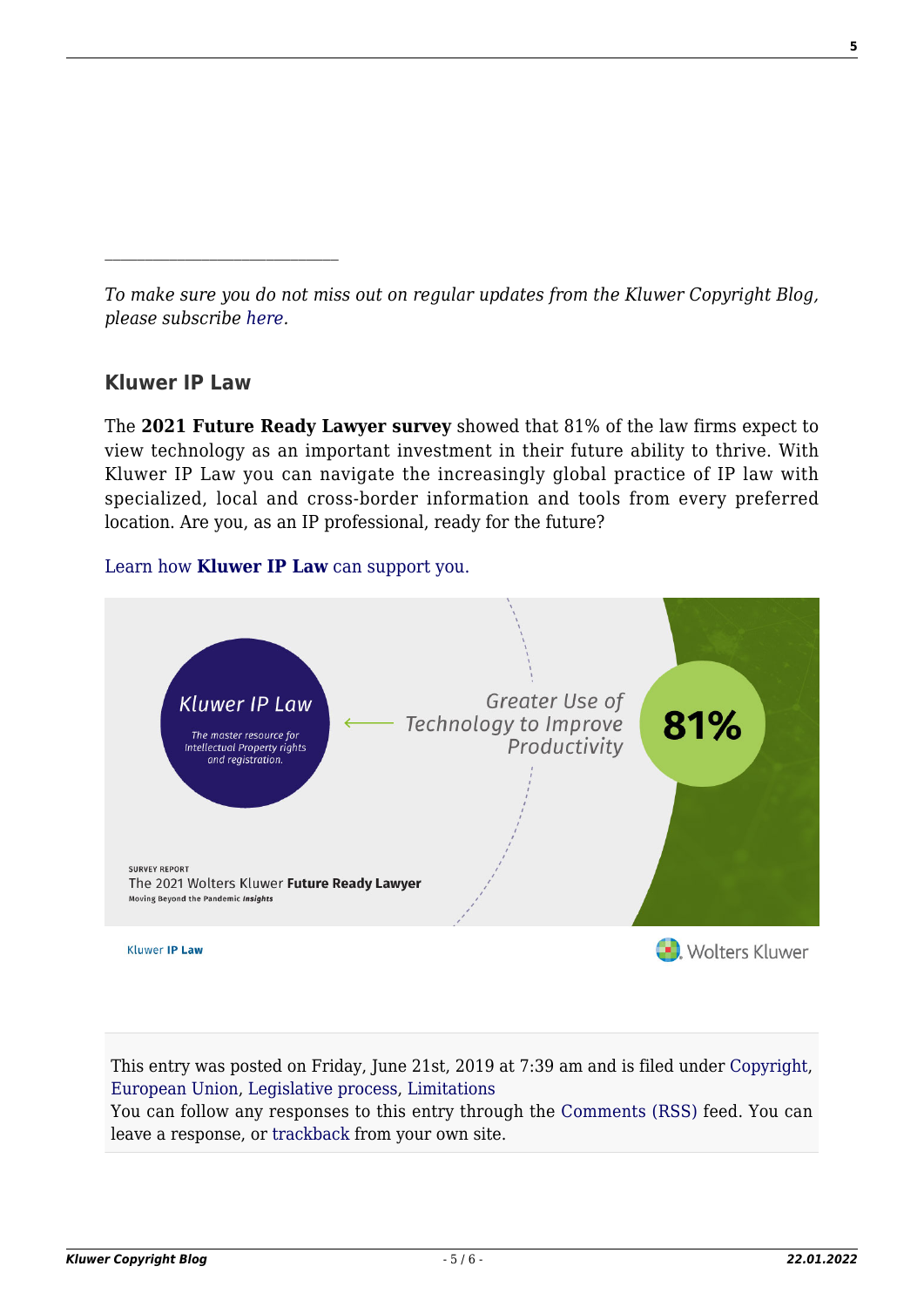*To make sure you do not miss out on regular updates from the Kluwer Copyright Blog, please subscribe [here.](http://copyrightblog.kluweriplaw.com/newsletter)*

# **Kluwer IP Law**

The **2021 Future Ready Lawyer survey** showed that 81% of the law firms expect to view technology as an important investment in their future ability to thrive. With Kluwer IP Law you can navigate the increasingly global practice of IP law with specialized, local and cross-border information and tools from every preferred location. Are you, as an IP professional, ready for the future?

# [Learn how](https://www.wolterskluwer.com/en/solutions/kluweriplaw?utm_source=copyrightnblog&utm_medium=articleCTA&utm_campaign=article-banner) **[Kluwer IP Law](https://www.wolterskluwer.com/en/solutions/kluweriplaw?utm_source=copyrightnblog&utm_medium=articleCTA&utm_campaign=article-banner)** [can support you.](https://www.wolterskluwer.com/en/solutions/kluweriplaw?utm_source=copyrightnblog&utm_medium=articleCTA&utm_campaign=article-banner)



This entry was posted on Friday, June 21st, 2019 at 7:39 am and is filed under [Copyright,](http://copyrightblog.kluweriplaw.com/category/copyright/) [European Union,](http://copyrightblog.kluweriplaw.com/category/jurisdiction-2/european-union/) [Legislative process](http://copyrightblog.kluweriplaw.com/category/legislative-process/), [Limitations](http://copyrightblog.kluweriplaw.com/category/limitations/)

You can follow any responses to this entry through the [Comments \(RSS\)](http://copyrightblog.kluweriplaw.com/comments/feed/) feed. You can leave a response, or [trackback](http://copyrightblog.kluweriplaw.com/2019/06/21/the-new-copyright-directive-digital-and-cross-border-teaching-exception-article-5/trackback/) from your own site.